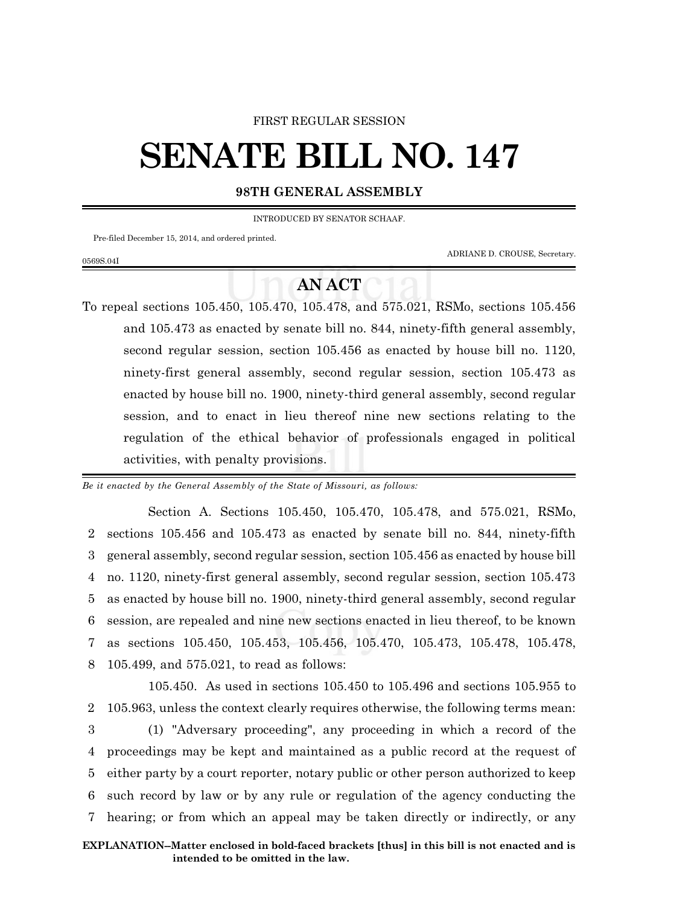### FIRST REGULAR SESSION

# **SENATE BILL NO. 147**

## **98TH GENERAL ASSEMBLY**

INTRODUCED BY SENATOR SCHAAF.

Pre-filed December 15, 2014, and ordered printed.

0569S.04I

ADRIANE D. CROUSE, Secretary.

# **AN ACT**

To repeal sections 105.450, 105.470, 105.478, and 575.021, RSMo, sections 105.456 and 105.473 as enacted by senate bill no. 844, ninety-fifth general assembly, second regular session, section 105.456 as enacted by house bill no. 1120, ninety-first general assembly, second regular session, section 105.473 as enacted by house bill no. 1900, ninety-third general assembly, second regular session, and to enact in lieu thereof nine new sections relating to the regulation of the ethical behavior of professionals engaged in political activities, with penalty provisions.

*Be it enacted by the General Assembly of the State of Missouri, as follows:*

Section A. Sections 105.450, 105.470, 105.478, and 575.021, RSMo, sections 105.456 and 105.473 as enacted by senate bill no. 844, ninety-fifth general assembly, second regular session, section 105.456 as enacted by house bill no. 1120, ninety-first general assembly, second regular session, section 105.473 as enacted by house bill no. 1900, ninety-third general assembly, second regular session, are repealed and nine new sections enacted in lieu thereof, to be known as sections 105.450, 105.453, 105.456, 105.470, 105.473, 105.478, 105.478, 105.499, and 575.021, to read as follows:

105.450. As used in sections 105.450 to 105.496 and sections 105.955 to 105.963, unless the context clearly requires otherwise, the following terms mean: (1) "Adversary proceeding", any proceeding in which a record of the proceedings may be kept and maintained as a public record at the request of either party by a court reporter, notary public or other person authorized to keep such record by law or by any rule or regulation of the agency conducting the hearing; or from which an appeal may be taken directly or indirectly, or any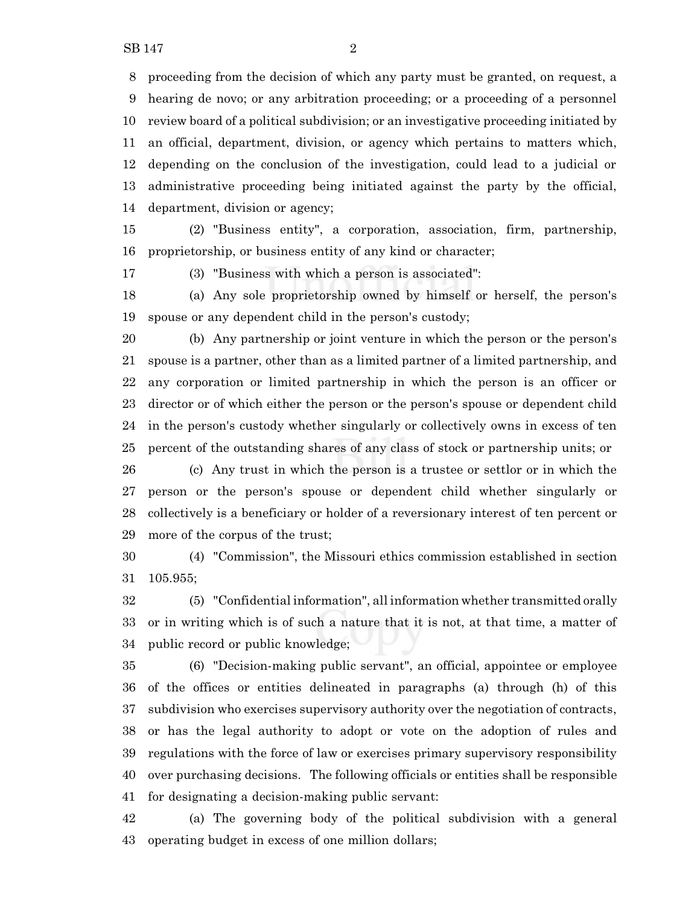proceeding from the decision of which any party must be granted, on request, a hearing de novo; or any arbitration proceeding; or a proceeding of a personnel review board of a political subdivision; or an investigative proceeding initiated by an official, department, division, or agency which pertains to matters which, depending on the conclusion of the investigation, could lead to a judicial or administrative proceeding being initiated against the party by the official, department, division or agency;

 (2) "Business entity", a corporation, association, firm, partnership, proprietorship, or business entity of any kind or character;

(3) "Business with which a person is associated":

 (a) Any sole proprietorship owned by himself or herself, the person's spouse or any dependent child in the person's custody;

 (b) Any partnership or joint venture in which the person or the person's spouse is a partner, other than as a limited partner of a limited partnership, and any corporation or limited partnership in which the person is an officer or director or of which either the person or the person's spouse or dependent child in the person's custody whether singularly or collectively owns in excess of ten percent of the outstanding shares of any class of stock or partnership units; or

 (c) Any trust in which the person is a trustee or settlor or in which the person or the person's spouse or dependent child whether singularly or collectively is a beneficiary or holder of a reversionary interest of ten percent or more of the corpus of the trust;

 (4) "Commission", the Missouri ethics commission established in section 105.955;

 (5) "Confidential information", all information whether transmitted orally or in writing which is of such a nature that it is not, at that time, a matter of public record or public knowledge;

 (6) "Decision-making public servant", an official, appointee or employee of the offices or entities delineated in paragraphs (a) through (h) of this subdivision who exercises supervisory authority over the negotiation of contracts, or has the legal authority to adopt or vote on the adoption of rules and regulations with the force of law or exercises primary supervisory responsibility over purchasing decisions. The following officials or entities shall be responsible for designating a decision-making public servant:

 (a) The governing body of the political subdivision with a general operating budget in excess of one million dollars;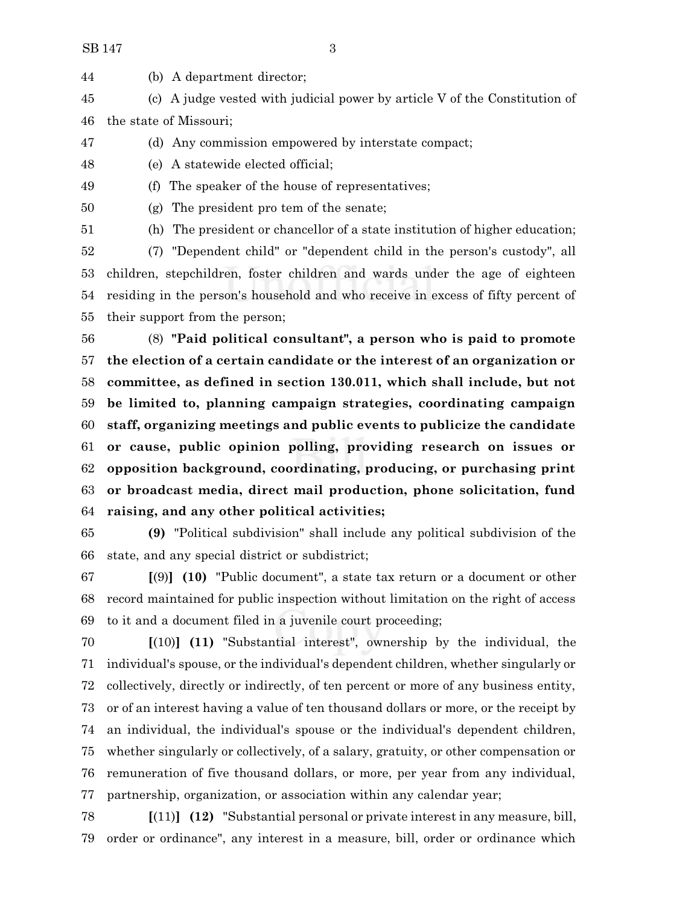(b) A department director;

 (c) A judge vested with judicial power by article V of the Constitution of the state of Missouri;

- (d) Any commission empowered by interstate compact;
- (e) A statewide elected official;
- 

(f) The speaker of the house of representatives;

(g) The president pro tem of the senate;

(h) The president or chancellor of a state institution of higher education;

 (7) "Dependent child" or "dependent child in the person's custody", all children, stepchildren, foster children and wards under the age of eighteen residing in the person's household and who receive in excess of fifty percent of their support from the person;

 (8) **"Paid political consultant", a person who is paid to promote the election of a certain candidate or the interest of an organization or committee, as defined in section 130.011, which shall include, but not be limited to, planning campaign strategies, coordinating campaign staff, organizing meetings and public events to publicize the candidate or cause, public opinion polling, providing research on issues or opposition background, coordinating, producing, or purchasing print or broadcast media, direct mail production, phone solicitation, fund raising, and any other political activities;**

 **(9)** "Political subdivision" shall include any political subdivision of the state, and any special district or subdistrict;

 **[**(9)**] (10)** "Public document", a state tax return or a document or other record maintained for public inspection without limitation on the right of access to it and a document filed in a juvenile court proceeding;

 **[**(10)**] (11)** "Substantial interest", ownership by the individual, the individual's spouse, or the individual's dependent children, whether singularly or collectively, directly or indirectly, of ten percent or more of any business entity, or of an interest having a value of ten thousand dollars or more, or the receipt by an individual, the individual's spouse or the individual's dependent children, whether singularly or collectively, of a salary, gratuity, or other compensation or remuneration of five thousand dollars, or more, per year from any individual, partnership, organization, or association within any calendar year;

 **[**(11)**] (12)** "Substantial personal or private interest in any measure, bill, order or ordinance", any interest in a measure, bill, order or ordinance which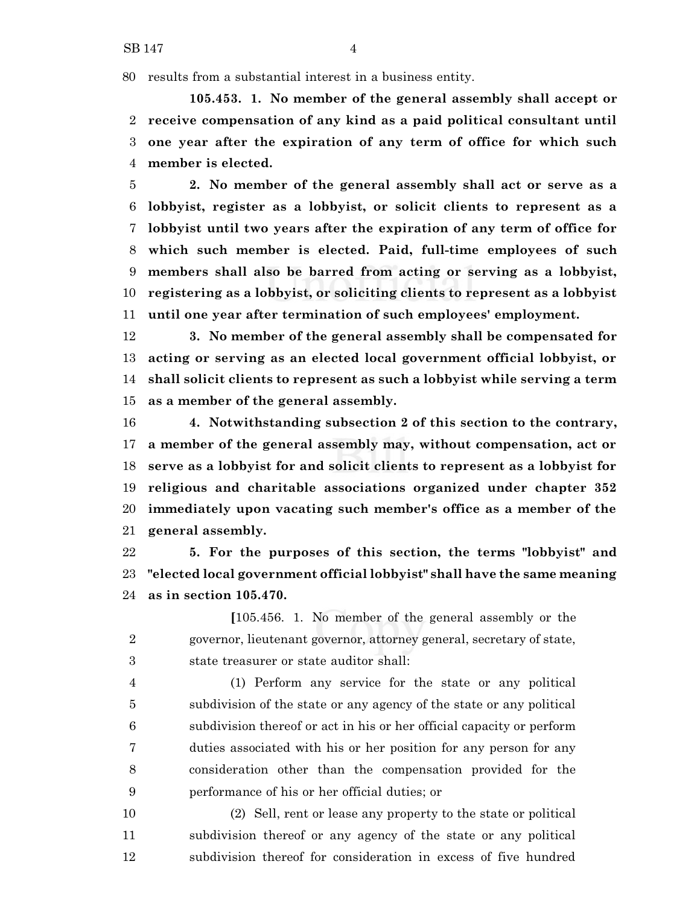results from a substantial interest in a business entity.

**105.453. 1. No member of the general assembly shall accept or receive compensation of any kind as a paid political consultant until one year after the expiration of any term of office for which such member is elected.**

 **2. No member of the general assembly shall act or serve as a lobbyist, register as a lobbyist, or solicit clients to represent as a lobbyist until two years after the expiration of any term of office for which such member is elected. Paid, full-time employees of such members shall also be barred from acting or serving as a lobbyist, registering as a lobbyist, or soliciting clients to represent as a lobbyist until one year after termination of such employees' employment.**

 **3. No member of the general assembly shall be compensated for acting or serving as an elected local government official lobbyist, or shall solicit clients to represent as such a lobbyist while serving a term as a member of the general assembly.**

 **4. Notwithstanding subsection 2 of this section to the contrary, a member of the general assembly may, without compensation, act or serve as a lobbyist for and solicit clients to represent as a lobbyist for religious and charitable associations organized under chapter 352 immediately upon vacating such member's office as a member of the general assembly.**

 **5. For the purposes of this section, the terms "lobbyist" and "elected local government official lobbyist" shall have the same meaning as in section 105.470.**

**[**105.456. 1. No member of the general assembly or the governor, lieutenant governor, attorney general, secretary of state, state treasurer or state auditor shall:

 (1) Perform any service for the state or any political subdivision of the state or any agency of the state or any political subdivision thereof or act in his or her official capacity or perform duties associated with his or her position for any person for any consideration other than the compensation provided for the performance of his or her official duties; or

 (2) Sell, rent or lease any property to the state or political subdivision thereof or any agency of the state or any political subdivision thereof for consideration in excess of five hundred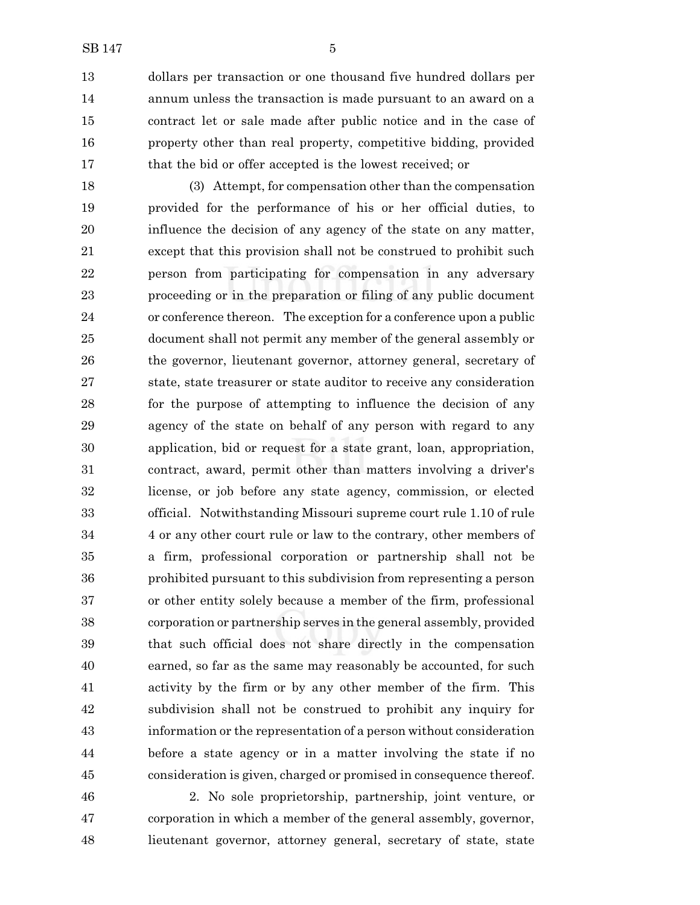dollars per transaction or one thousand five hundred dollars per annum unless the transaction is made pursuant to an award on a contract let or sale made after public notice and in the case of property other than real property, competitive bidding, provided 17 that the bid or offer accepted is the lowest received; or

 (3) Attempt, for compensation other than the compensation provided for the performance of his or her official duties, to influence the decision of any agency of the state on any matter, except that this provision shall not be construed to prohibit such person from participating for compensation in any adversary proceeding or in the preparation or filing of any public document or conference thereon. The exception for a conference upon a public document shall not permit any member of the general assembly or the governor, lieutenant governor, attorney general, secretary of state, state treasurer or state auditor to receive any consideration for the purpose of attempting to influence the decision of any agency of the state on behalf of any person with regard to any application, bid or request for a state grant, loan, appropriation, contract, award, permit other than matters involving a driver's license, or job before any state agency, commission, or elected official. Notwithstanding Missouri supreme court rule 1.10 of rule 4 or any other court rule or law to the contrary, other members of a firm, professional corporation or partnership shall not be prohibited pursuant to this subdivision from representing a person or other entity solely because a member of the firm, professional corporation or partnership serves in the general assembly, provided that such official does not share directly in the compensation earned, so far as the same may reasonably be accounted, for such activity by the firm or by any other member of the firm. This subdivision shall not be construed to prohibit any inquiry for information or the representation of a person without consideration before a state agency or in a matter involving the state if no consideration is given, charged or promised in consequence thereof.

 2. No sole proprietorship, partnership, joint venture, or corporation in which a member of the general assembly, governor, lieutenant governor, attorney general, secretary of state, state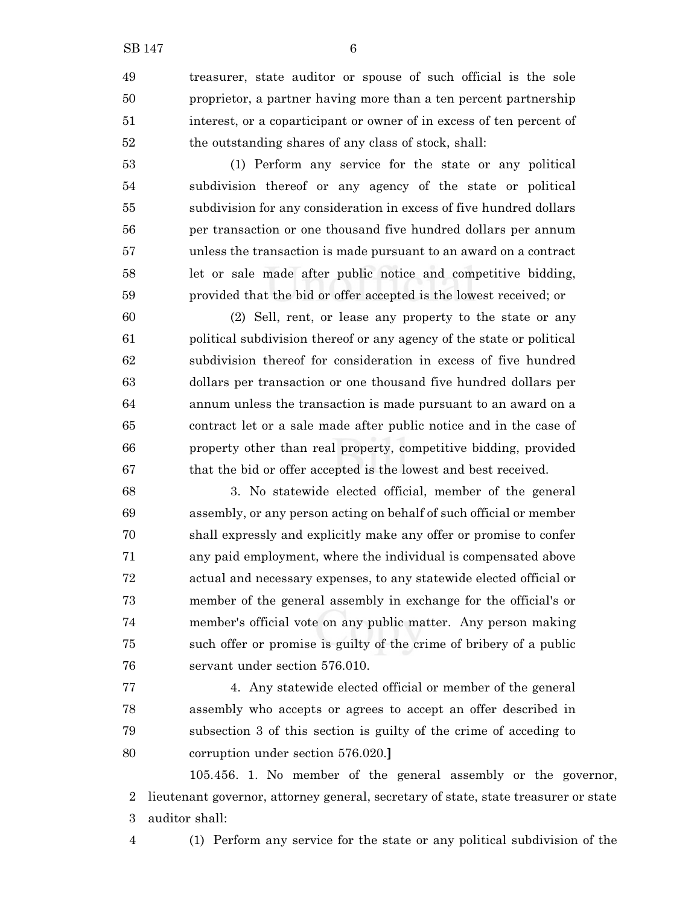treasurer, state auditor or spouse of such official is the sole proprietor, a partner having more than a ten percent partnership interest, or a coparticipant or owner of in excess of ten percent of the outstanding shares of any class of stock, shall:

 (1) Perform any service for the state or any political subdivision thereof or any agency of the state or political subdivision for any consideration in excess of five hundred dollars per transaction or one thousand five hundred dollars per annum unless the transaction is made pursuant to an award on a contract let or sale made after public notice and competitive bidding, provided that the bid or offer accepted is the lowest received; or

 (2) Sell, rent, or lease any property to the state or any political subdivision thereof or any agency of the state or political subdivision thereof for consideration in excess of five hundred dollars per transaction or one thousand five hundred dollars per annum unless the transaction is made pursuant to an award on a contract let or a sale made after public notice and in the case of property other than real property, competitive bidding, provided that the bid or offer accepted is the lowest and best received.

 3. No statewide elected official, member of the general assembly, or any person acting on behalf of such official or member shall expressly and explicitly make any offer or promise to confer any paid employment, where the individual is compensated above actual and necessary expenses, to any statewide elected official or member of the general assembly in exchange for the official's or member's official vote on any public matter. Any person making such offer or promise is guilty of the crime of bribery of a public servant under section 576.010.

 4. Any statewide elected official or member of the general assembly who accepts or agrees to accept an offer described in subsection 3 of this section is guilty of the crime of acceding to corruption under section 576.020.**]**

105.456. 1. No member of the general assembly or the governor, lieutenant governor, attorney general, secretary of state, state treasurer or state auditor shall:

(1) Perform any service for the state or any political subdivision of the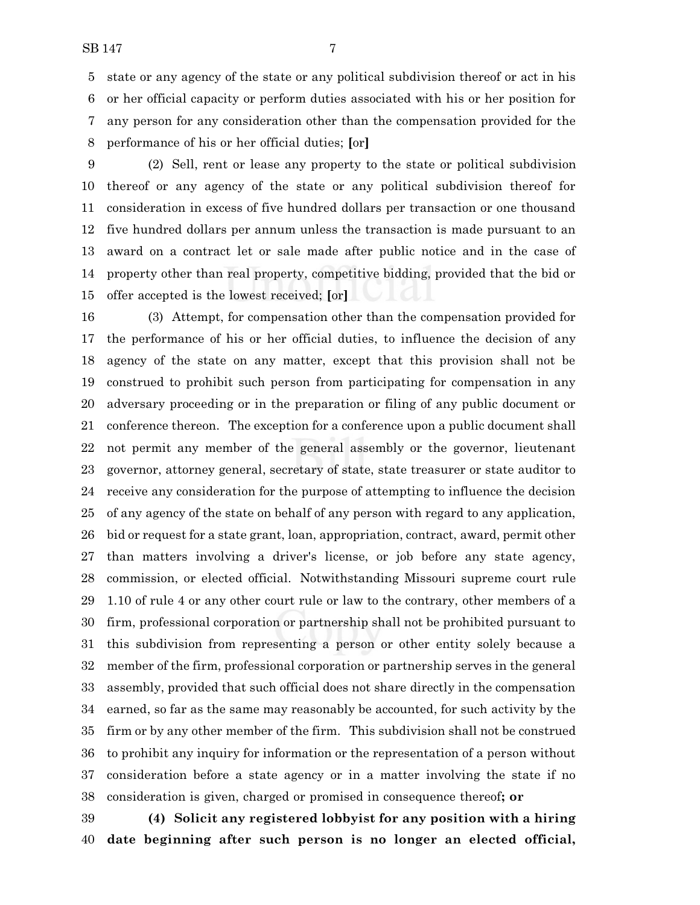state or any agency of the state or any political subdivision thereof or act in his or her official capacity or perform duties associated with his or her position for any person for any consideration other than the compensation provided for the performance of his or her official duties; **[**or**]**

 (2) Sell, rent or lease any property to the state or political subdivision thereof or any agency of the state or any political subdivision thereof for consideration in excess of five hundred dollars per transaction or one thousand five hundred dollars per annum unless the transaction is made pursuant to an award on a contract let or sale made after public notice and in the case of property other than real property, competitive bidding, provided that the bid or offer accepted is the lowest received; **[**or**]**

 (3) Attempt, for compensation other than the compensation provided for the performance of his or her official duties, to influence the decision of any agency of the state on any matter, except that this provision shall not be construed to prohibit such person from participating for compensation in any adversary proceeding or in the preparation or filing of any public document or conference thereon. The exception for a conference upon a public document shall not permit any member of the general assembly or the governor, lieutenant governor, attorney general, secretary of state, state treasurer or state auditor to receive any consideration for the purpose of attempting to influence the decision of any agency of the state on behalf of any person with regard to any application, bid or request for a state grant, loan, appropriation, contract, award, permit other than matters involving a driver's license, or job before any state agency, commission, or elected official. Notwithstanding Missouri supreme court rule 1.10 of rule 4 or any other court rule or law to the contrary, other members of a firm, professional corporation or partnership shall not be prohibited pursuant to this subdivision from representing a person or other entity solely because a member of the firm, professional corporation or partnership serves in the general assembly, provided that such official does not share directly in the compensation earned, so far as the same may reasonably be accounted, for such activity by the firm or by any other member of the firm. This subdivision shall not be construed to prohibit any inquiry for information or the representation of a person without consideration before a state agency or in a matter involving the state if no consideration is given, charged or promised in consequence thereof**; or**

 **(4) Solicit any registered lobbyist for any position with a hiring date beginning after such person is no longer an elected official,**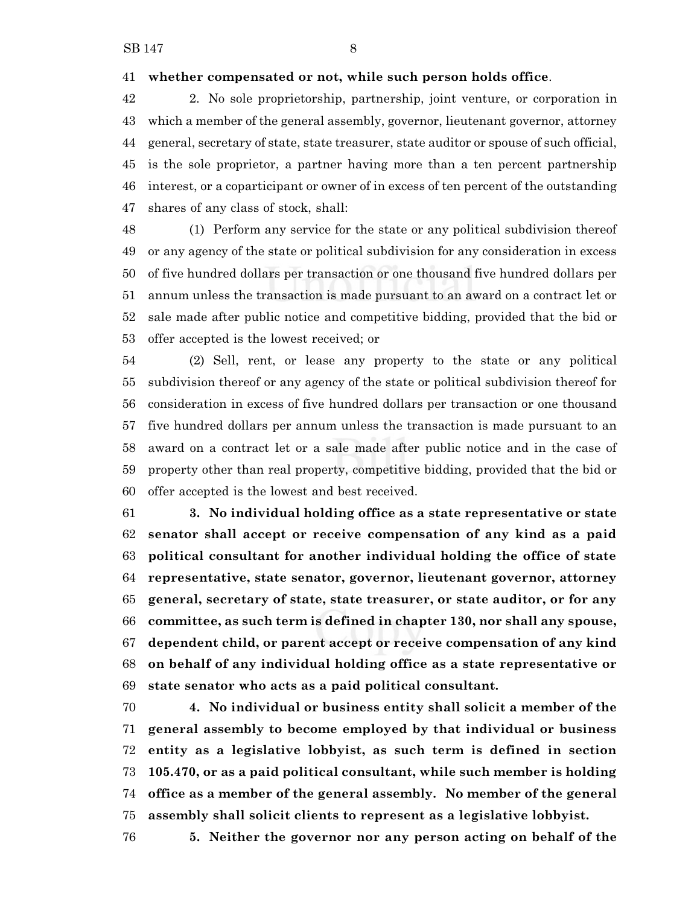#### **whether compensated or not, while such person holds office**.

 2. No sole proprietorship, partnership, joint venture, or corporation in which a member of the general assembly, governor, lieutenant governor, attorney general, secretary of state, state treasurer, state auditor or spouse of such official, is the sole proprietor, a partner having more than a ten percent partnership interest, or a coparticipant or owner of in excess of ten percent of the outstanding shares of any class of stock, shall:

 (1) Perform any service for the state or any political subdivision thereof or any agency of the state or political subdivision for any consideration in excess of five hundred dollars per transaction or one thousand five hundred dollars per annum unless the transaction is made pursuant to an award on a contract let or sale made after public notice and competitive bidding, provided that the bid or offer accepted is the lowest received; or

 (2) Sell, rent, or lease any property to the state or any political subdivision thereof or any agency of the state or political subdivision thereof for consideration in excess of five hundred dollars per transaction or one thousand five hundred dollars per annum unless the transaction is made pursuant to an award on a contract let or a sale made after public notice and in the case of property other than real property, competitive bidding, provided that the bid or offer accepted is the lowest and best received.

 **3. No individual holding office as a state representative or state senator shall accept or receive compensation of any kind as a paid political consultant for another individual holding the office of state representative, state senator, governor, lieutenant governor, attorney general, secretary of state, state treasurer, or state auditor, or for any committee, as such term is defined in chapter 130, nor shall any spouse, dependent child, or parent accept or receive compensation of any kind on behalf of any individual holding office as a state representative or state senator who acts as a paid political consultant.**

 **4. No individual or business entity shall solicit a member of the general assembly to become employed by that individual or business entity as a legislative lobbyist, as such term is defined in section 105.470, or as a paid political consultant, while such member is holding office as a member of the general assembly. No member of the general assembly shall solicit clients to represent as a legislative lobbyist.**

**5. Neither the governor nor any person acting on behalf of the**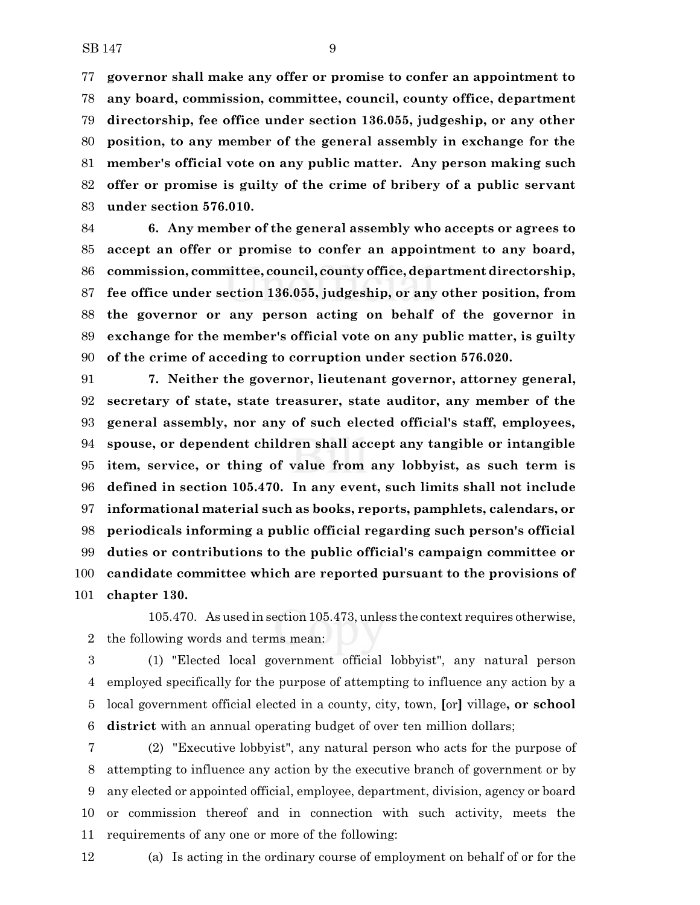**governor shall make any offer or promise to confer an appointment to any board, commission, committee, council, county office, department directorship, fee office under section 136.055, judgeship, or any other position, to any member of the general assembly in exchange for the member's official vote on any public matter. Any person making such offer or promise is guilty of the crime of bribery of a public servant under section 576.010.**

 **6. Any member of the general assembly who accepts or agrees to accept an offer or promise to confer an appointment to any board, commission, committee, council, county office, department directorship, fee office under section 136.055, judgeship, or any other position, from the governor or any person acting on behalf of the governor in exchange for the member's official vote on any public matter, is guilty of the crime of acceding to corruption under section 576.020.**

 **7. Neither the governor, lieutenant governor, attorney general, secretary of state, state treasurer, state auditor, any member of the general assembly, nor any of such elected official's staff, employees, spouse, or dependent children shall accept any tangible or intangible item, service, or thing of value from any lobbyist, as such term is defined in section 105.470. In any event, such limits shall not include informational material such as books, reports, pamphlets, calendars, or periodicals informing a public official regarding such person's official duties or contributions to the public official's campaign committee or candidate committee which are reported pursuant to the provisions of chapter 130.**

105.470. As used in section 105.473, unless the context requires otherwise, the following words and terms mean:

 (1) "Elected local government official lobbyist", any natural person employed specifically for the purpose of attempting to influence any action by a local government official elected in a county, city, town, **[**or**]** village**, or school district** with an annual operating budget of over ten million dollars;

 (2) "Executive lobbyist", any natural person who acts for the purpose of attempting to influence any action by the executive branch of government or by any elected or appointed official, employee, department, division, agency or board or commission thereof and in connection with such activity, meets the requirements of any one or more of the following:

(a) Is acting in the ordinary course of employment on behalf of or for the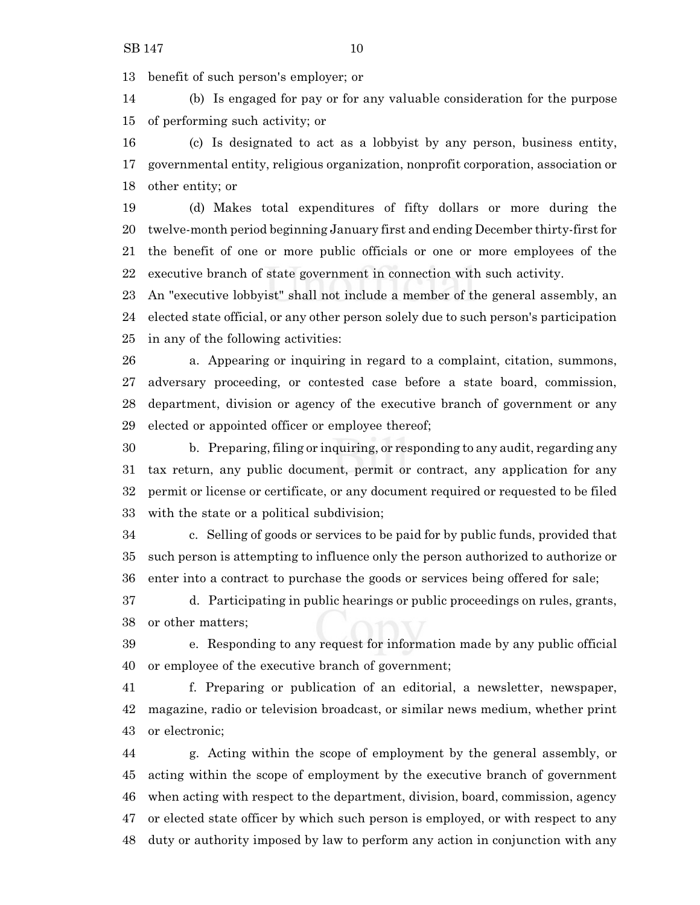benefit of such person's employer; or

 (b) Is engaged for pay or for any valuable consideration for the purpose of performing such activity; or

 (c) Is designated to act as a lobbyist by any person, business entity, governmental entity, religious organization, nonprofit corporation, association or other entity; or

 (d) Makes total expenditures of fifty dollars or more during the twelve-month period beginning January first and ending December thirty-first for the benefit of one or more public officials or one or more employees of the executive branch of state government in connection with such activity.

 An "executive lobbyist" shall not include a member of the general assembly, an elected state official, or any other person solely due to such person's participation in any of the following activities:

 a. Appearing or inquiring in regard to a complaint, citation, summons, adversary proceeding, or contested case before a state board, commission, department, division or agency of the executive branch of government or any elected or appointed officer or employee thereof;

 b. Preparing, filing or inquiring, or responding to any audit, regarding any tax return, any public document, permit or contract, any application for any permit or license or certificate, or any document required or requested to be filed with the state or a political subdivision;

 c. Selling of goods or services to be paid for by public funds, provided that such person is attempting to influence only the person authorized to authorize or enter into a contract to purchase the goods or services being offered for sale;

 d. Participating in public hearings or public proceedings on rules, grants, or other matters;

 e. Responding to any request for information made by any public official or employee of the executive branch of government;

 f. Preparing or publication of an editorial, a newsletter, newspaper, magazine, radio or television broadcast, or similar news medium, whether print or electronic;

 g. Acting within the scope of employment by the general assembly, or acting within the scope of employment by the executive branch of government when acting with respect to the department, division, board, commission, agency or elected state officer by which such person is employed, or with respect to any duty or authority imposed by law to perform any action in conjunction with any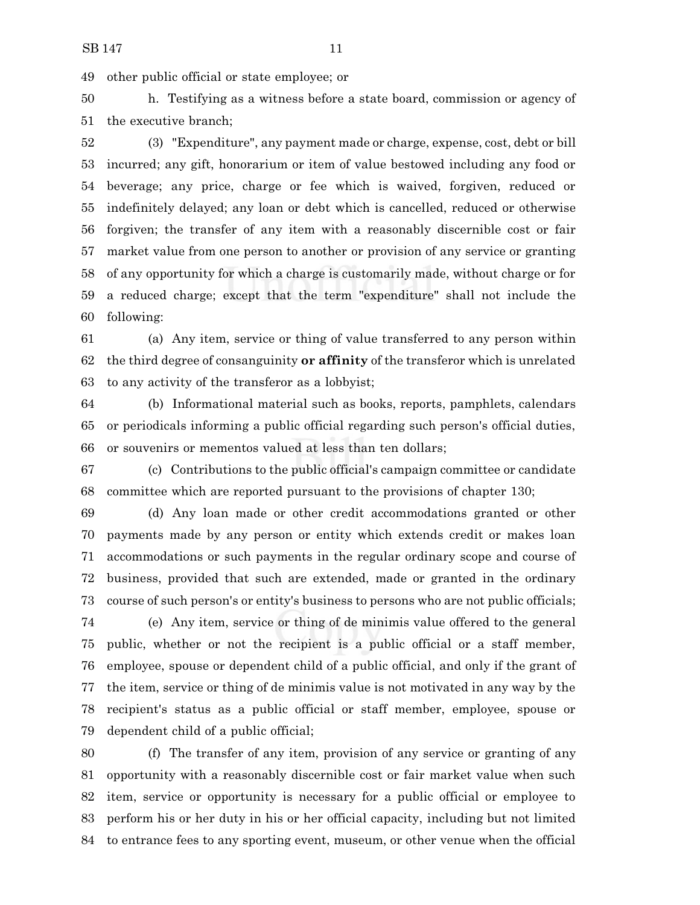other public official or state employee; or

 h. Testifying as a witness before a state board, commission or agency of the executive branch;

 (3) "Expenditure", any payment made or charge, expense, cost, debt or bill incurred; any gift, honorarium or item of value bestowed including any food or beverage; any price, charge or fee which is waived, forgiven, reduced or indefinitely delayed; any loan or debt which is cancelled, reduced or otherwise forgiven; the transfer of any item with a reasonably discernible cost or fair market value from one person to another or provision of any service or granting of any opportunity for which a charge is customarily made, without charge or for a reduced charge; except that the term "expenditure" shall not include the following:

 (a) Any item, service or thing of value transferred to any person within the third degree of consanguinity **or affinity** of the transferor which is unrelated to any activity of the transferor as a lobbyist;

 (b) Informational material such as books, reports, pamphlets, calendars or periodicals informing a public official regarding such person's official duties, or souvenirs or mementos valued at less than ten dollars;

 (c) Contributions to the public official's campaign committee or candidate committee which are reported pursuant to the provisions of chapter 130;

 (d) Any loan made or other credit accommodations granted or other payments made by any person or entity which extends credit or makes loan accommodations or such payments in the regular ordinary scope and course of business, provided that such are extended, made or granted in the ordinary course of such person's or entity's business to persons who are not public officials;

 (e) Any item, service or thing of de minimis value offered to the general public, whether or not the recipient is a public official or a staff member, employee, spouse or dependent child of a public official, and only if the grant of the item, service or thing of de minimis value is not motivated in any way by the recipient's status as a public official or staff member, employee, spouse or dependent child of a public official;

 (f) The transfer of any item, provision of any service or granting of any opportunity with a reasonably discernible cost or fair market value when such item, service or opportunity is necessary for a public official or employee to perform his or her duty in his or her official capacity, including but not limited to entrance fees to any sporting event, museum, or other venue when the official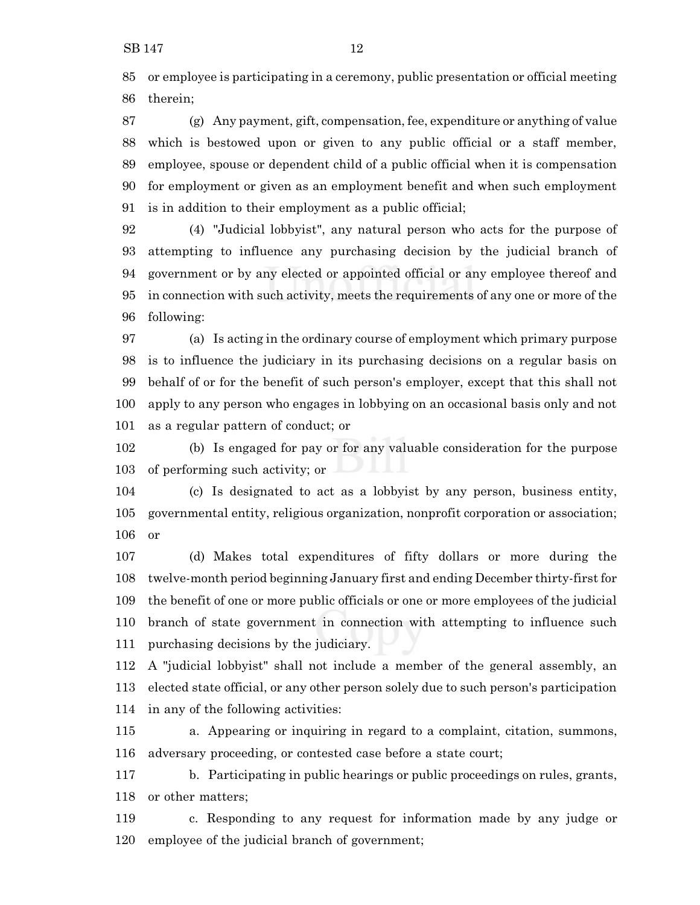SB 147 12

 or employee is participating in a ceremony, public presentation or official meeting therein;

 (g) Any payment, gift, compensation, fee, expenditure or anything of value which is bestowed upon or given to any public official or a staff member, employee, spouse or dependent child of a public official when it is compensation for employment or given as an employment benefit and when such employment is in addition to their employment as a public official;

 (4) "Judicial lobbyist", any natural person who acts for the purpose of attempting to influence any purchasing decision by the judicial branch of government or by any elected or appointed official or any employee thereof and in connection with such activity, meets the requirements of any one or more of the following:

 (a) Is acting in the ordinary course of employment which primary purpose is to influence the judiciary in its purchasing decisions on a regular basis on behalf of or for the benefit of such person's employer, except that this shall not apply to any person who engages in lobbying on an occasional basis only and not as a regular pattern of conduct; or

 (b) Is engaged for pay or for any valuable consideration for the purpose of performing such activity; or

 (c) Is designated to act as a lobbyist by any person, business entity, 105 governmental entity, religious organization, nonprofit corporation or association; or

 (d) Makes total expenditures of fifty dollars or more during the twelve-month period beginning January first and ending December thirty-first for the benefit of one or more public officials or one or more employees of the judicial branch of state government in connection with attempting to influence such purchasing decisions by the judiciary.

 A "judicial lobbyist" shall not include a member of the general assembly, an elected state official, or any other person solely due to such person's participation in any of the following activities:

 a. Appearing or inquiring in regard to a complaint, citation, summons, adversary proceeding, or contested case before a state court;

 b. Participating in public hearings or public proceedings on rules, grants, or other matters;

 c. Responding to any request for information made by any judge or employee of the judicial branch of government;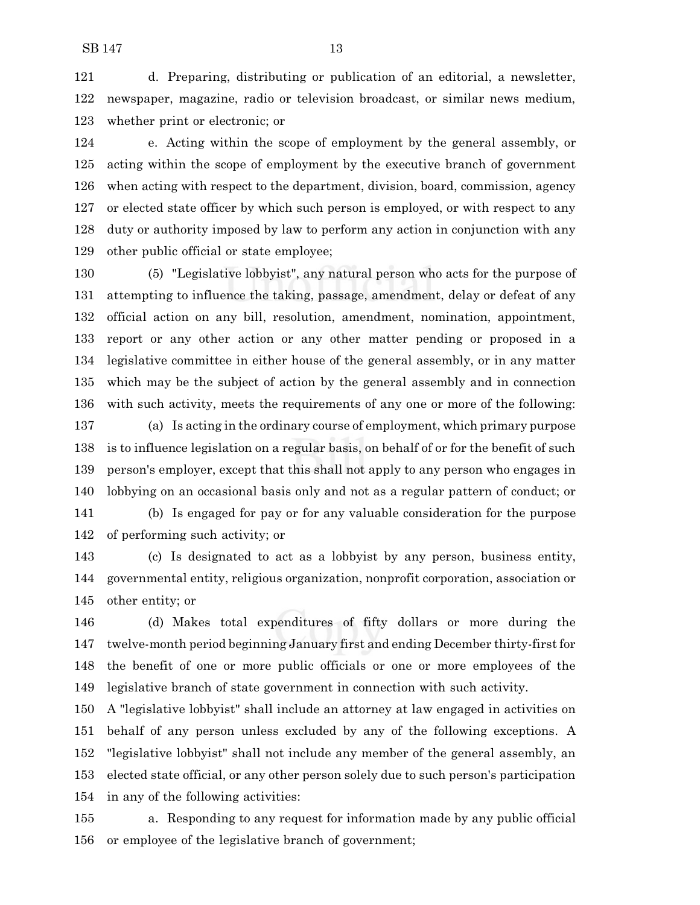d. Preparing, distributing or publication of an editorial, a newsletter, newspaper, magazine, radio or television broadcast, or similar news medium, whether print or electronic; or

 e. Acting within the scope of employment by the general assembly, or acting within the scope of employment by the executive branch of government when acting with respect to the department, division, board, commission, agency or elected state officer by which such person is employed, or with respect to any duty or authority imposed by law to perform any action in conjunction with any other public official or state employee;

 (5) "Legislative lobbyist", any natural person who acts for the purpose of attempting to influence the taking, passage, amendment, delay or defeat of any official action on any bill, resolution, amendment, nomination, appointment, report or any other action or any other matter pending or proposed in a legislative committee in either house of the general assembly, or in any matter which may be the subject of action by the general assembly and in connection with such activity, meets the requirements of any one or more of the following:

 (a) Is acting in the ordinary course of employment, which primary purpose is to influence legislation on a regular basis, on behalf of or for the benefit of such person's employer, except that this shall not apply to any person who engages in lobbying on an occasional basis only and not as a regular pattern of conduct; or

 (b) Is engaged for pay or for any valuable consideration for the purpose of performing such activity; or

 (c) Is designated to act as a lobbyist by any person, business entity, governmental entity, religious organization, nonprofit corporation, association or other entity; or

 (d) Makes total expenditures of fifty dollars or more during the twelve-month period beginning January first and ending December thirty-first for the benefit of one or more public officials or one or more employees of the legislative branch of state government in connection with such activity.

 A "legislative lobbyist" shall include an attorney at law engaged in activities on behalf of any person unless excluded by any of the following exceptions. A "legislative lobbyist" shall not include any member of the general assembly, an elected state official, or any other person solely due to such person's participation in any of the following activities:

 a. Responding to any request for information made by any public official or employee of the legislative branch of government;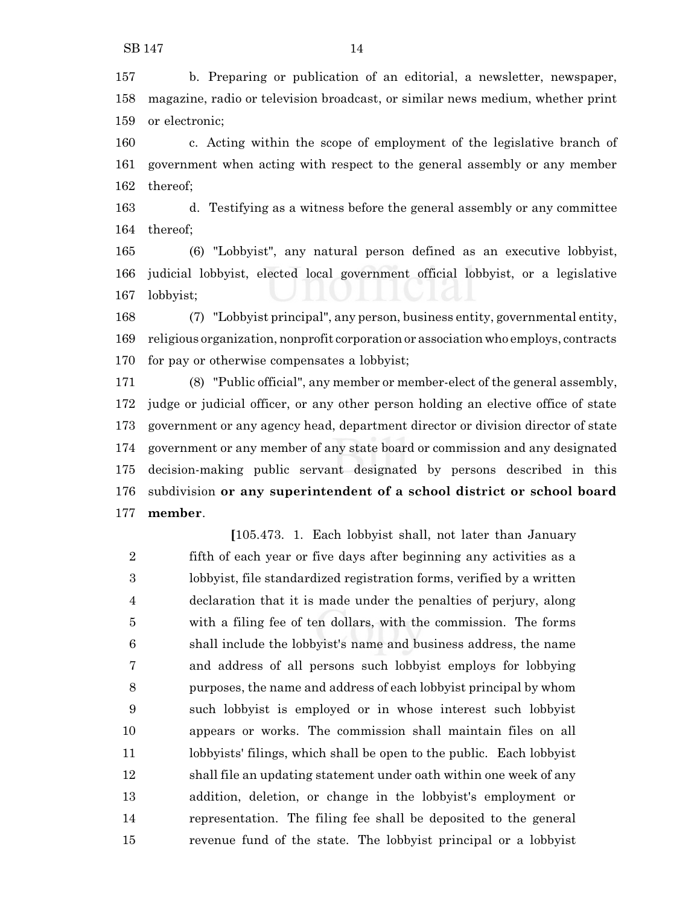b. Preparing or publication of an editorial, a newsletter, newspaper, magazine, radio or television broadcast, or similar news medium, whether print or electronic;

 c. Acting within the scope of employment of the legislative branch of government when acting with respect to the general assembly or any member thereof;

 d. Testifying as a witness before the general assembly or any committee thereof;

 (6) "Lobbyist", any natural person defined as an executive lobbyist, judicial lobbyist, elected local government official lobbyist, or a legislative lobbyist;

 (7) "Lobbyist principal", any person, business entity, governmental entity, religious organization, nonprofit corporation or association who employs, contracts for pay or otherwise compensates a lobbyist;

 (8) "Public official", any member or member-elect of the general assembly, judge or judicial officer, or any other person holding an elective office of state government or any agency head, department director or division director of state government or any member of any state board or commission and any designated decision-making public servant designated by persons described in this subdivision **or any superintendent of a school district or school board member**.

**[**105.473. 1. Each lobbyist shall, not later than January fifth of each year or five days after beginning any activities as a lobbyist, file standardized registration forms, verified by a written declaration that it is made under the penalties of perjury, along with a filing fee of ten dollars, with the commission. The forms shall include the lobbyist's name and business address, the name and address of all persons such lobbyist employs for lobbying purposes, the name and address of each lobbyist principal by whom such lobbyist is employed or in whose interest such lobbyist appears or works. The commission shall maintain files on all lobbyists' filings, which shall be open to the public. Each lobbyist shall file an updating statement under oath within one week of any addition, deletion, or change in the lobbyist's employment or representation. The filing fee shall be deposited to the general revenue fund of the state. The lobbyist principal or a lobbyist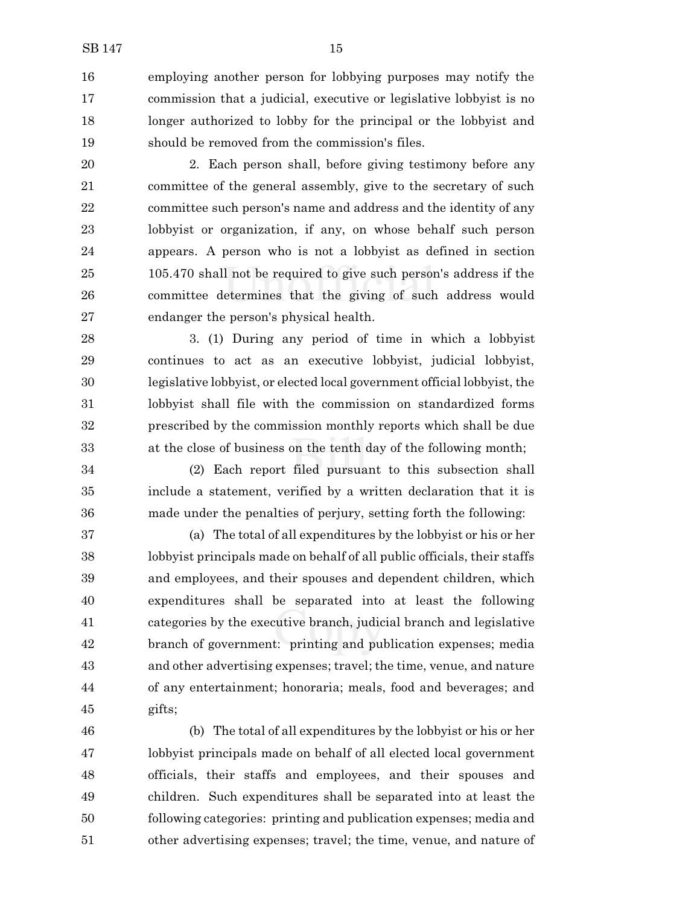employing another person for lobbying purposes may notify the commission that a judicial, executive or legislative lobbyist is no longer authorized to lobby for the principal or the lobbyist and should be removed from the commission's files.

 2. Each person shall, before giving testimony before any committee of the general assembly, give to the secretary of such committee such person's name and address and the identity of any lobbyist or organization, if any, on whose behalf such person appears. A person who is not a lobbyist as defined in section 105.470 shall not be required to give such person's address if the committee determines that the giving of such address would endanger the person's physical health.

 3. (1) During any period of time in which a lobbyist continues to act as an executive lobbyist, judicial lobbyist, legislative lobbyist, or elected local government official lobbyist, the lobbyist shall file with the commission on standardized forms prescribed by the commission monthly reports which shall be due at the close of business on the tenth day of the following month;

 (2) Each report filed pursuant to this subsection shall include a statement, verified by a written declaration that it is made under the penalties of perjury, setting forth the following:

 (a) The total of all expenditures by the lobbyist or his or her lobbyist principals made on behalf of all public officials, their staffs and employees, and their spouses and dependent children, which expenditures shall be separated into at least the following categories by the executive branch, judicial branch and legislative branch of government: printing and publication expenses; media and other advertising expenses; travel; the time, venue, and nature of any entertainment; honoraria; meals, food and beverages; and gifts;

 (b) The total of all expenditures by the lobbyist or his or her lobbyist principals made on behalf of all elected local government officials, their staffs and employees, and their spouses and children. Such expenditures shall be separated into at least the following categories: printing and publication expenses; media and other advertising expenses; travel; the time, venue, and nature of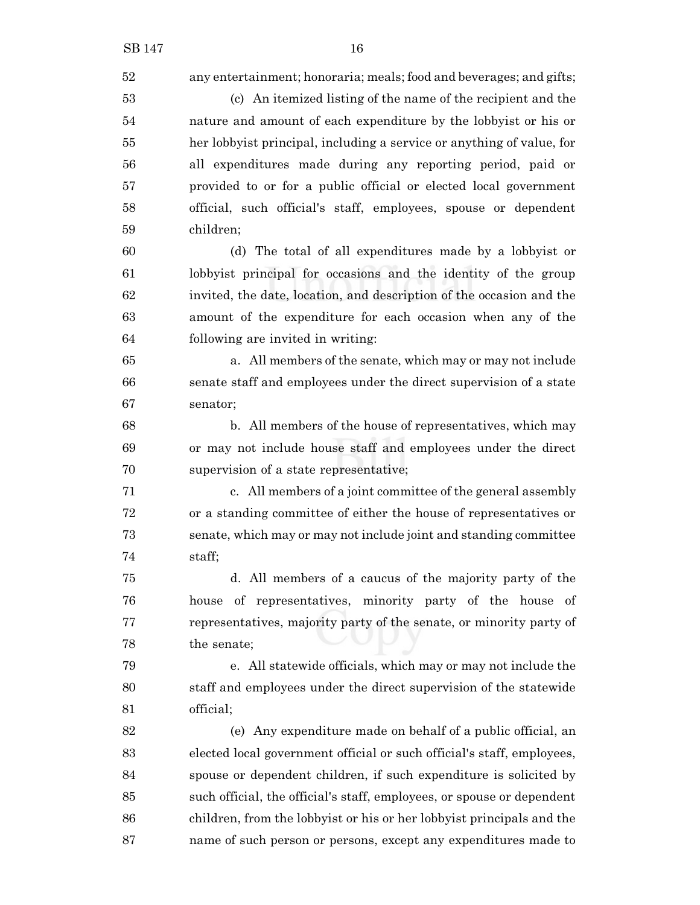| 52 | any entertainment; honoraria; meals; food and beverages; and gifts;     |
|----|-------------------------------------------------------------------------|
| 53 | (c) An itemized listing of the name of the recipient and the            |
| 54 | nature and amount of each expenditure by the lobbyist or his or         |
| 55 | her lobby ist principal, including a service or anything of value, for  |
| 56 | all expenditures made during any reporting period, paid or              |
| 57 | provided to or for a public official or elected local government        |
| 58 | official, such official's staff, employees, spouse or dependent         |
| 59 | children;                                                               |
| 60 | (d) The total of all expenditures made by a lobbyist or                 |
| 61 | lobbyist principal for occasions and the identity of the group          |
| 62 | invited, the date, location, and description of the occasion and the    |
| 63 | amount of the expenditure for each occasion when any of the             |
| 64 | following are invited in writing:                                       |
| 65 | a. All members of the senate, which may or may not include              |
| 66 | senate staff and employees under the direct supervision of a state      |
| 67 | senator;                                                                |
| 68 | b. All members of the house of representatives, which may               |
| 69 | or may not include house staff and employees under the direct           |
| 70 | supervision of a state representative;                                  |
| 71 | c. All members of a joint committee of the general assembly             |
| 72 | or a standing committee of either the house of representatives or       |
| 73 | senate, which may or may not include joint and standing committee       |
| 74 | staff;                                                                  |
| 75 | d. All members of a caucus of the majority party of the                 |
| 76 | of representatives, minority party of the house of<br>house             |
| 77 | representatives, majority party of the senate, or minority party of     |
| 78 | the senate;                                                             |
| 79 | e. All statewide officials, which may or may not include the            |
| 80 | staff and employees under the direct supervision of the statewide       |
| 81 | official;                                                               |
| 82 | (e) Any expenditure made on behalf of a public official, an             |
| 83 | elected local government official or such official's staff, employees,  |
| 84 | spouse or dependent children, if such expenditure is solicited by       |
| 85 | such official, the official's staff, employees, or spouse or dependent  |
| 86 | children, from the lobby ist or his or her lobby ist principals and the |
| 87 | name of such person or persons, except any expenditures made to         |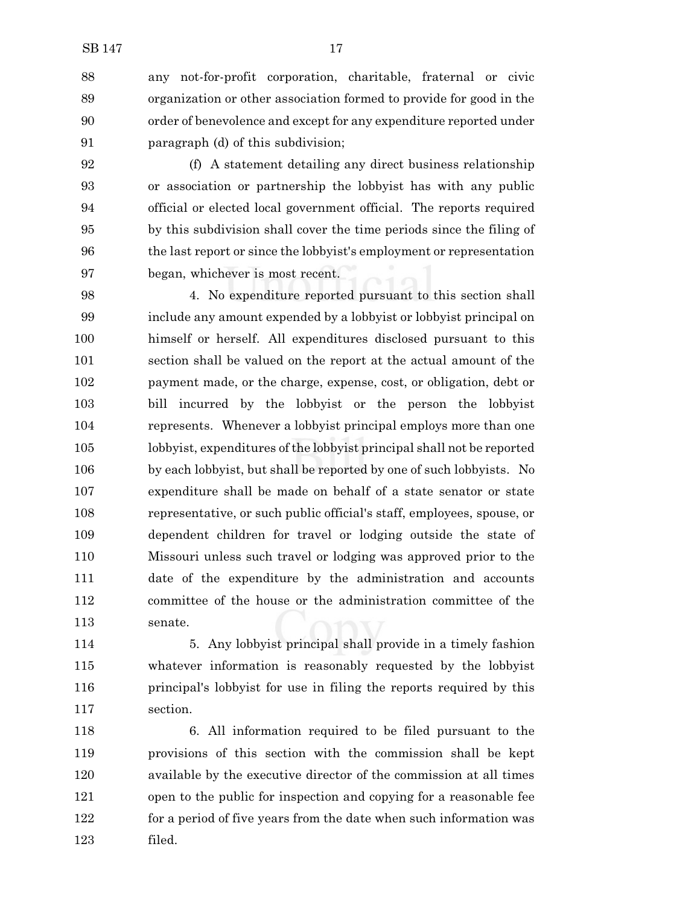any not-for-profit corporation, charitable, fraternal or civic organization or other association formed to provide for good in the order of benevolence and except for any expenditure reported under paragraph (d) of this subdivision;

 (f) A statement detailing any direct business relationship or association or partnership the lobbyist has with any public official or elected local government official. The reports required by this subdivision shall cover the time periods since the filing of the last report or since the lobbyist's employment or representation began, whichever is most recent.

 4. No expenditure reported pursuant to this section shall include any amount expended by a lobbyist or lobbyist principal on himself or herself. All expenditures disclosed pursuant to this section shall be valued on the report at the actual amount of the payment made, or the charge, expense, cost, or obligation, debt or bill incurred by the lobbyist or the person the lobbyist represents. Whenever a lobbyist principal employs more than one lobbyist, expenditures ofthe lobbyist principal shall not be reported by each lobbyist, but shall be reported by one of such lobbyists. No expenditure shall be made on behalf of a state senator or state representative, or such public official's staff, employees, spouse, or dependent children for travel or lodging outside the state of Missouri unless such travel or lodging was approved prior to the date of the expenditure by the administration and accounts committee of the house or the administration committee of the senate.

 5. Any lobbyist principal shall provide in a timely fashion whatever information is reasonably requested by the lobbyist principal's lobbyist for use in filing the reports required by this section.

 6. All information required to be filed pursuant to the provisions of this section with the commission shall be kept available by the executive director of the commission at all times open to the public for inspection and copying for a reasonable fee for a period of five years from the date when such information was filed.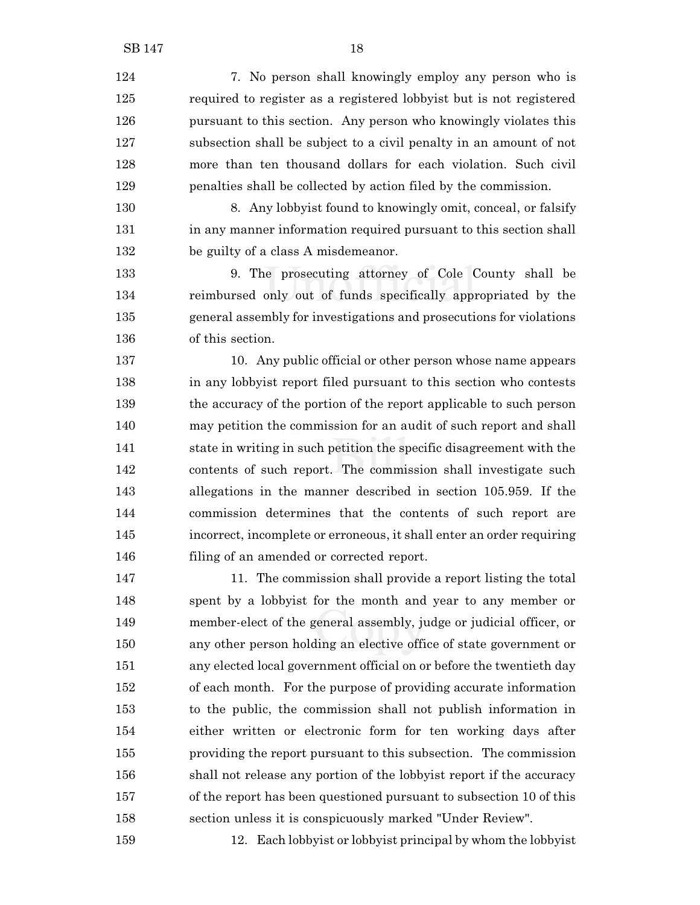7. No person shall knowingly employ any person who is required to register as a registered lobbyist but is not registered pursuant to this section. Any person who knowingly violates this subsection shall be subject to a civil penalty in an amount of not more than ten thousand dollars for each violation. Such civil penalties shall be collected by action filed by the commission.

 8. Any lobbyist found to knowingly omit, conceal, or falsify in any manner information required pursuant to this section shall 132 be guilty of a class A misdemeanor.

 9. The prosecuting attorney of Cole County shall be reimbursed only out of funds specifically appropriated by the general assembly for investigations and prosecutions for violations of this section.

 10. Any public official or other person whose name appears in any lobbyist report filed pursuant to this section who contests the accuracy of the portion of the report applicable to such person may petition the commission for an audit of such report and shall state in writing in such petition the specific disagreement with the contents of such report. The commission shall investigate such allegations in the manner described in section 105.959. If the commission determines that the contents of such report are incorrect, incomplete or erroneous, it shall enter an order requiring 146 filing of an amended or corrected report.

 11. The commission shall provide a report listing the total spent by a lobbyist for the month and year to any member or member-elect of the general assembly, judge or judicial officer, or any other person holding an elective office of state government or any elected local government official on or before the twentieth day of each month. For the purpose of providing accurate information to the public, the commission shall not publish information in either written or electronic form for ten working days after providing the report pursuant to this subsection. The commission shall not release any portion of the lobbyist report if the accuracy of the report has been questioned pursuant to subsection 10 of this section unless it is conspicuously marked "Under Review".

12. Each lobbyist or lobbyist principal by whom the lobbyist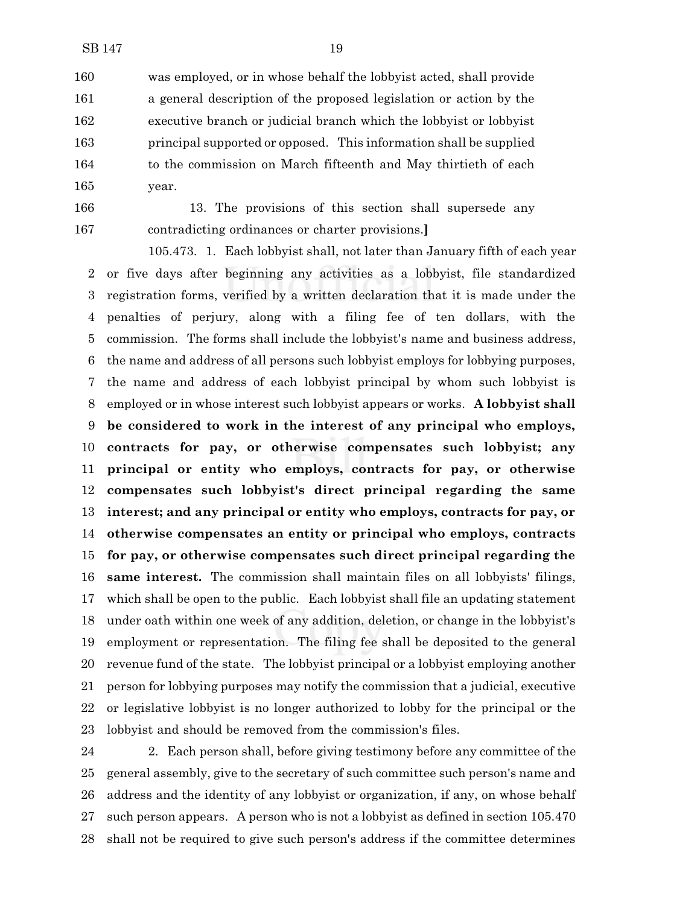was employed, or in whose behalf the lobbyist acted, shall provide a general description of the proposed legislation or action by the executive branch or judicial branch which the lobbyist or lobbyist principal supported or opposed. This information shall be supplied to the commission on March fifteenth and May thirtieth of each year.

- 
- 

 13. The provisions of this section shall supersede any contradicting ordinances or charter provisions.**]**

105.473. 1. Each lobbyist shall, not later than January fifth of each year or five days after beginning any activities as a lobbyist, file standardized registration forms, verified by a written declaration that it is made under the penalties of perjury, along with a filing fee of ten dollars, with the commission. The forms shall include the lobbyist's name and business address, the name and address of all persons such lobbyist employs for lobbying purposes, the name and address of each lobbyist principal by whom such lobbyist is employed or in whose interest such lobbyist appears or works. **A lobbyist shall be considered to work in the interest of any principal who employs, contracts for pay, or otherwise compensates such lobbyist; any principal or entity who employs, contracts for pay, or otherwise compensates such lobbyist's direct principal regarding the same interest; and any principal or entity who employs, contracts for pay, or otherwise compensates an entity or principal who employs, contracts for pay, or otherwise compensates such direct principal regarding the same interest.** The commission shall maintain files on all lobbyists' filings, which shall be open to the public. Each lobbyist shall file an updating statement under oath within one week of any addition, deletion, or change in the lobbyist's employment or representation. The filing fee shall be deposited to the general revenue fund of the state. The lobbyist principal or a lobbyist employing another person for lobbying purposes may notify the commission that a judicial, executive or legislative lobbyist is no longer authorized to lobby for the principal or the lobbyist and should be removed from the commission's files.

 2. Each person shall, before giving testimony before any committee of the general assembly, give to the secretary of such committee such person's name and address and the identity of any lobbyist or organization, if any, on whose behalf such person appears. A person who is not a lobbyist as defined in section 105.470 shall not be required to give such person's address if the committee determines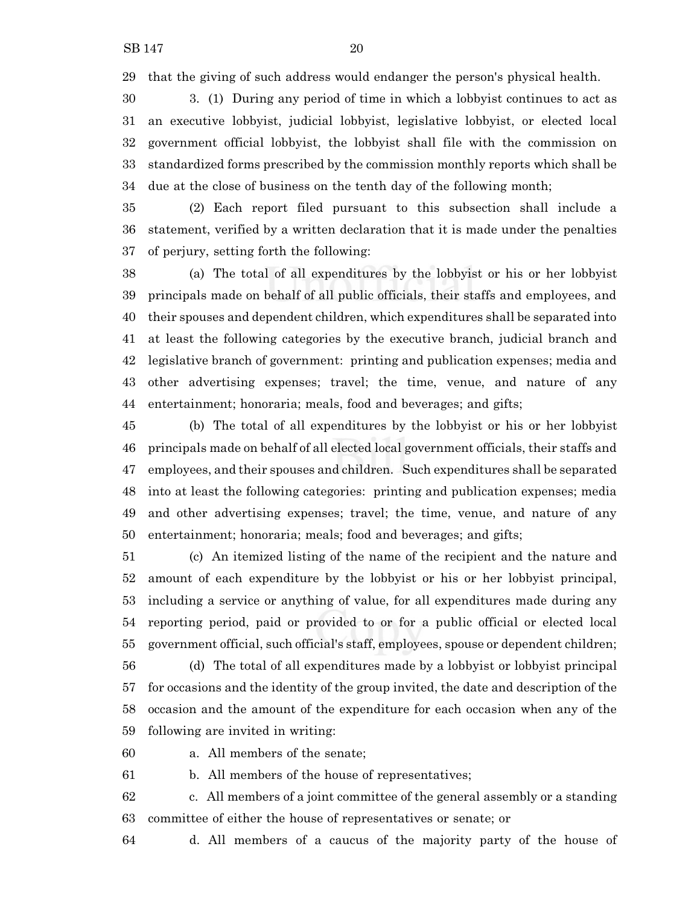that the giving of such address would endanger the person's physical health.

 3. (1) During any period of time in which a lobbyist continues to act as an executive lobbyist, judicial lobbyist, legislative lobbyist, or elected local government official lobbyist, the lobbyist shall file with the commission on standardized forms prescribed by the commission monthly reports which shall be due at the close of business on the tenth day of the following month;

 (2) Each report filed pursuant to this subsection shall include a statement, verified by a written declaration that it is made under the penalties of perjury, setting forth the following:

 (a) The total of all expenditures by the lobbyist or his or her lobbyist principals made on behalf of all public officials, their staffs and employees, and their spouses and dependent children, which expenditures shall be separated into at least the following categories by the executive branch, judicial branch and legislative branch of government: printing and publication expenses; media and other advertising expenses; travel; the time, venue, and nature of any entertainment; honoraria; meals, food and beverages; and gifts;

 (b) The total of all expenditures by the lobbyist or his or her lobbyist principals made on behalf of all elected local government officials, their staffs and employees, and their spouses and children. Such expenditures shall be separated into at least the following categories: printing and publication expenses; media and other advertising expenses; travel; the time, venue, and nature of any entertainment; honoraria; meals; food and beverages; and gifts;

 (c) An itemized listing of the name of the recipient and the nature and amount of each expenditure by the lobbyist or his or her lobbyist principal, including a service or anything of value, for all expenditures made during any reporting period, paid or provided to or for a public official or elected local government official, such official's staff, employees, spouse or dependent children;

 (d) The total of all expenditures made by a lobbyist or lobbyist principal for occasions and the identity of the group invited, the date and description of the occasion and the amount of the expenditure for each occasion when any of the following are invited in writing:

a. All members of the senate;

b. All members of the house of representatives;

 c. All members of a joint committee of the general assembly or a standing committee of either the house of representatives or senate; or

d. All members of a caucus of the majority party of the house of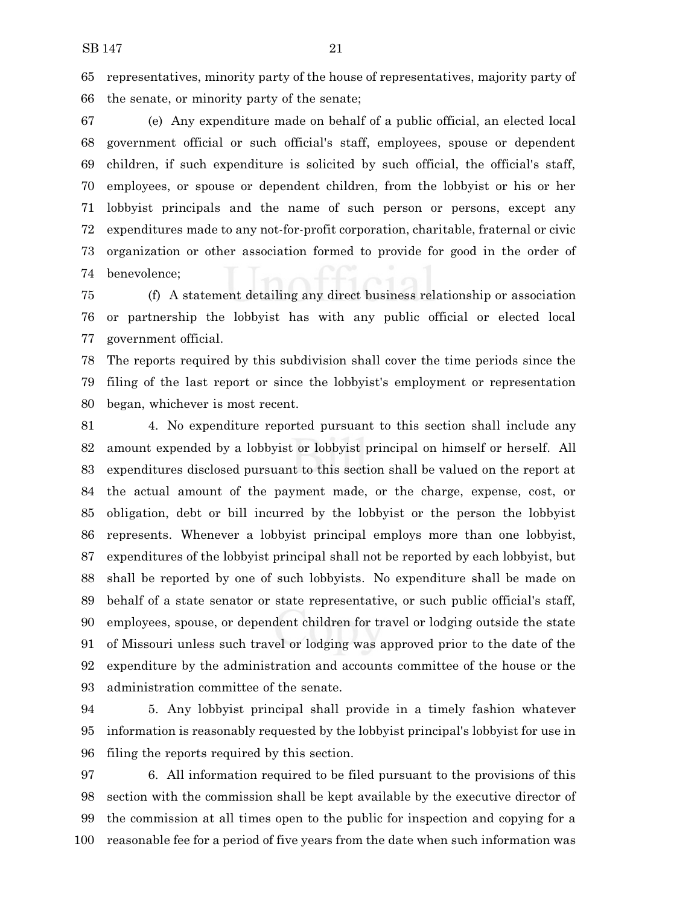representatives, minority party of the house of representatives, majority party of the senate, or minority party of the senate;

 (e) Any expenditure made on behalf of a public official, an elected local government official or such official's staff, employees, spouse or dependent children, if such expenditure is solicited by such official, the official's staff, employees, or spouse or dependent children, from the lobbyist or his or her lobbyist principals and the name of such person or persons, except any expenditures made to any not-for-profit corporation, charitable, fraternal or civic organization or other association formed to provide for good in the order of benevolence;

 (f) A statement detailing any direct business relationship or association or partnership the lobbyist has with any public official or elected local government official.

 The reports required by this subdivision shall cover the time periods since the filing of the last report or since the lobbyist's employment or representation began, whichever is most recent.

 4. No expenditure reported pursuant to this section shall include any amount expended by a lobbyist or lobbyist principal on himself or herself. All expenditures disclosed pursuant to this section shall be valued on the report at the actual amount of the payment made, or the charge, expense, cost, or obligation, debt or bill incurred by the lobbyist or the person the lobbyist represents. Whenever a lobbyist principal employs more than one lobbyist, expenditures of the lobbyist principal shall not be reported by each lobbyist, but shall be reported by one of such lobbyists. No expenditure shall be made on behalf of a state senator or state representative, or such public official's staff, employees, spouse, or dependent children for travel or lodging outside the state of Missouri unless such travel or lodging was approved prior to the date of the expenditure by the administration and accounts committee of the house or the administration committee of the senate.

 5. Any lobbyist principal shall provide in a timely fashion whatever information is reasonably requested by the lobbyist principal's lobbyist for use in filing the reports required by this section.

 6. All information required to be filed pursuant to the provisions of this section with the commission shall be kept available by the executive director of the commission at all times open to the public for inspection and copying for a reasonable fee for a period of five years from the date when such information was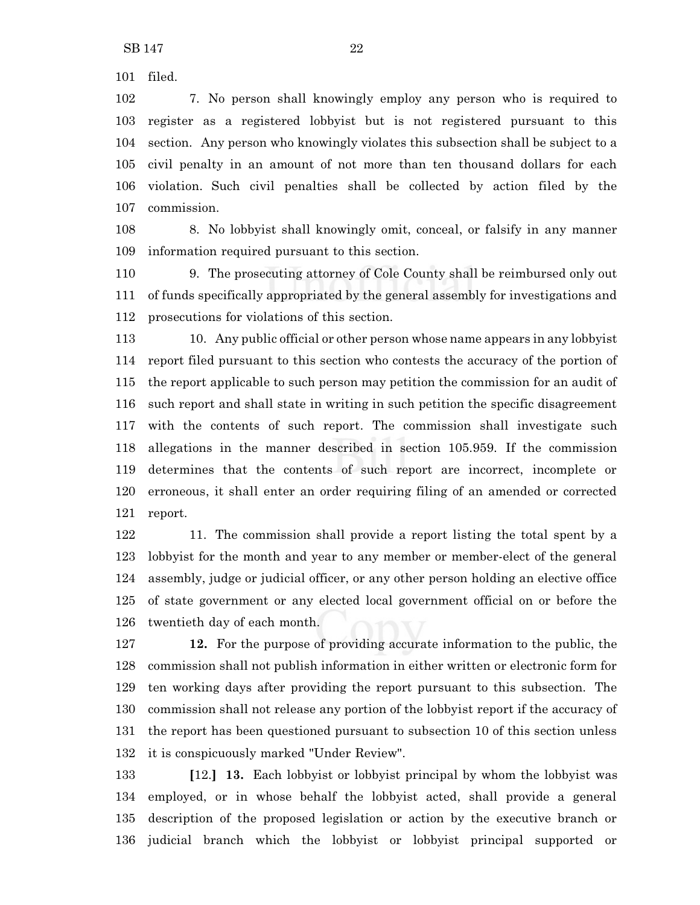filed.

 7. No person shall knowingly employ any person who is required to register as a registered lobbyist but is not registered pursuant to this section. Any person who knowingly violates this subsection shall be subject to a civil penalty in an amount of not more than ten thousand dollars for each violation. Such civil penalties shall be collected by action filed by the commission.

 8. No lobbyist shall knowingly omit, conceal, or falsify in any manner information required pursuant to this section.

 9. The prosecuting attorney of Cole County shall be reimbursed only out of funds specifically appropriated by the general assembly for investigations and prosecutions for violations of this section.

 10. Any public official or other person whose name appears in any lobbyist report filed pursuant to this section who contests the accuracy of the portion of the report applicable to such person may petition the commission for an audit of such report and shall state in writing in such petition the specific disagreement with the contents of such report. The commission shall investigate such allegations in the manner described in section 105.959. If the commission determines that the contents of such report are incorrect, incomplete or erroneous, it shall enter an order requiring filing of an amended or corrected report.

 11. The commission shall provide a report listing the total spent by a lobbyist for the month and year to any member or member-elect of the general assembly, judge or judicial officer, or any other person holding an elective office of state government or any elected local government official on or before the twentieth day of each month.

 **12.** For the purpose of providing accurate information to the public, the commission shall not publish information in either written or electronic form for ten working days after providing the report pursuant to this subsection. The commission shall not release any portion of the lobbyist report if the accuracy of the report has been questioned pursuant to subsection 10 of this section unless it is conspicuously marked "Under Review".

 **[**12.**] 13.** Each lobbyist or lobbyist principal by whom the lobbyist was employed, or in whose behalf the lobbyist acted, shall provide a general description of the proposed legislation or action by the executive branch or judicial branch which the lobbyist or lobbyist principal supported or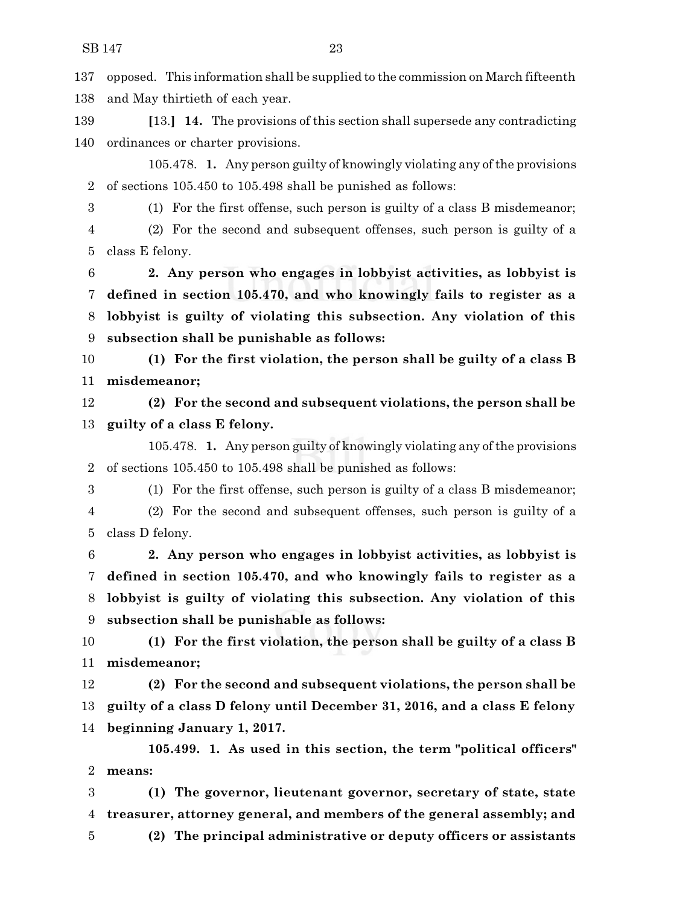opposed. This information shall be supplied to the commission on March fifteenth and May thirtieth of each year.

 **[**13.**] 14.** The provisions of this section shall supersede any contradicting ordinances or charter provisions.

105.478. **1.** Any person guilty of knowingly violating any ofthe provisions of sections 105.450 to 105.498 shall be punished as follows:

(1) For the first offense, such person is guilty of a class B misdemeanor;

 (2) For the second and subsequent offenses, such person is guilty of a class E felony.

 **2. Any person who engages in lobbyist activities, as lobbyist is defined in section 105.470, and who knowingly fails to register as a lobbyist is guilty of violating this subsection. Any violation of this subsection shall be punishable as follows:**

 **(1) For the first violation, the person shall be guilty of a class B misdemeanor;**

 **(2) For the second and subsequent violations, the person shall be guilty of a class E felony.**

105.478. **1.** Any person guilty of knowingly violating any of the provisions of sections 105.450 to 105.498 shall be punished as follows:

(1) For the first offense, such person is guilty of a class B misdemeanor;

 (2) For the second and subsequent offenses, such person is guilty of a class D felony.

 **2. Any person who engages in lobbyist activities, as lobbyist is defined in section 105.470, and who knowingly fails to register as a lobbyist is guilty of violating this subsection. Any violation of this subsection shall be punishable as follows:**

 **(1) For the first violation, the person shall be guilty of a class B misdemeanor;**

 **(2) For the second and subsequent violations, the person shall be guilty of a class D felony until December 31, 2016, and a class E felony beginning January 1, 2017.**

**105.499. 1. As used in this section, the term "political officers" means:**

 **(1) The governor, lieutenant governor, secretary of state, state treasurer, attorney general, and members of the general assembly; and (2) The principal administrative or deputy officers or assistants**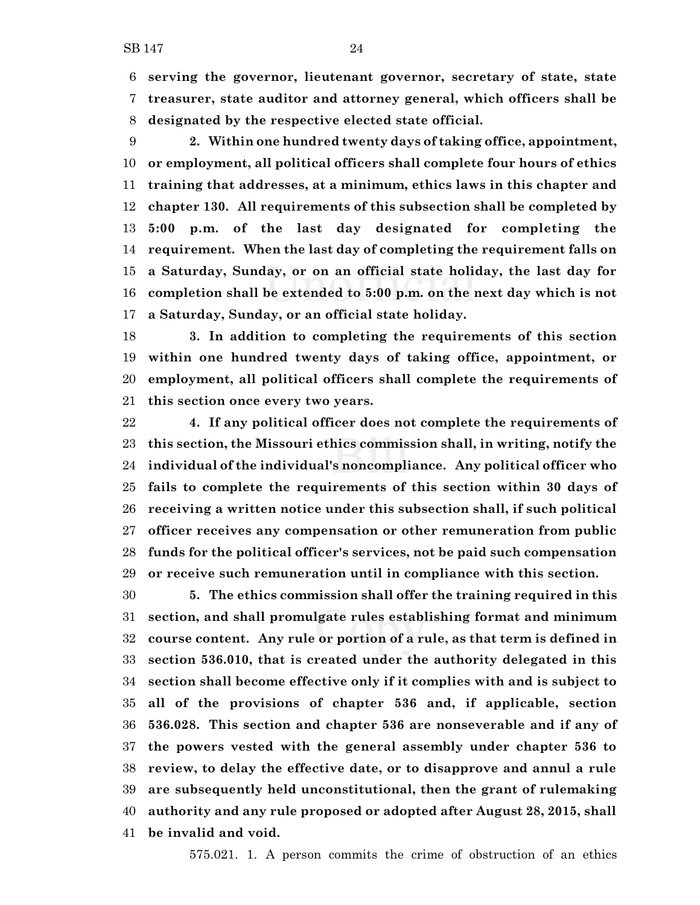**serving the governor, lieutenant governor, secretary of state, state treasurer, state auditor and attorney general, which officers shall be designated by the respective elected state official.**

 **2. Within one hundred twenty days of taking office, appointment, or employment, all political officers shall complete four hours of ethics training that addresses, at a minimum, ethics laws in this chapter and chapter 130. All requirements of this subsection shall be completed by 5:00 p.m. of the last day designated for completing the requirement. When the last day of completing the requirement falls on a Saturday, Sunday, or on an official state holiday, the last day for completion shall be extended to 5:00 p.m. on the next day which is not a Saturday, Sunday, or an official state holiday.**

 **3. In addition to completing the requirements of this section within one hundred twenty days of taking office, appointment, or employment, all political officers shall complete the requirements of this section once every two years.**

 **4. If any political officer does not complete the requirements of this section, the Missouri ethics commission shall, in writing, notify the individual of the individual's noncompliance. Any political officer who fails to complete the requirements of this section within 30 days of receiving a written notice under this subsection shall, if such political officer receives any compensation or other remuneration from public funds for the political officer's services, not be paid such compensation or receive such remuneration until in compliance with this section.**

 **5. The ethics commission shall offer the training required in this section, and shall promulgate rules establishing format and minimum course content. Any rule or portion of a rule, as that term is defined in section 536.010, that is created under the authority delegated in this section shall become effective only if it complies with and is subject to all of the provisions of chapter 536 and, if applicable, section 536.028. This section and chapter 536 are nonseverable and if any of the powers vested with the general assembly under chapter 536 to review, to delay the effective date, or to disapprove and annul a rule are subsequently held unconstitutional, then the grant of rulemaking authority and any rule proposed or adopted after August 28, 2015, shall be invalid and void.**

575.021. 1. A person commits the crime of obstruction of an ethics